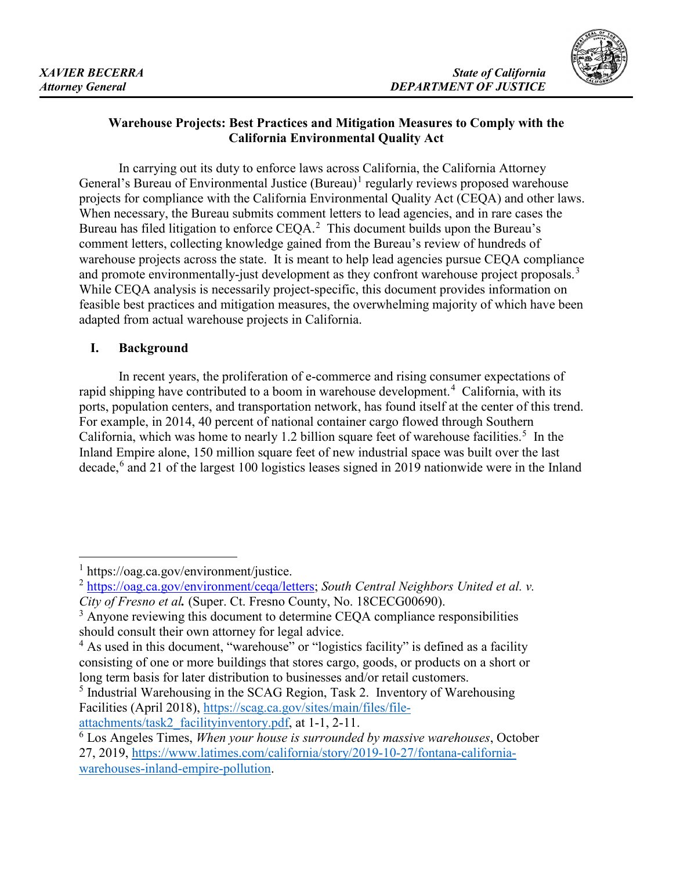

# **Warehouse Projects: Best Practices and Mitigation Measures to Comply with the California Environmental Quality Act**

 projects for compliance with the California Environmental Quality Act (CEQA) and other laws. When necessary, the Bureau submits comment letters to lead agencies, and in rare cases the Bureau has filed litigation to enforce  $CEQA$ .<sup>[2](#page-0-1)</sup> This document builds upon the Bureau's warehouse projects across the state. It is meant to help lead agencies pursue CEQA compliance and promote environmentally-just development as they confront warehouse project proposals.<sup>3</sup> feasible best practices and mitigation measures, the overwhelming majority of which have been In carrying out its duty to enforce laws across California, the California Attorney General's Bureau of Environmental Justice  $(Bureau)^1$  $(Bureau)^1$  regularly reviews proposed warehouse comment letters, collecting knowledge gained from the Bureau's review of hundreds of While CEQA analysis is necessarily project-specific, this document provides information on adapted from actual warehouse projects in California.

# **I. Background**

rapid shipping have contributed to a boom in warehouse development.<sup>[4](#page-0-3)</sup> California, with its California, which was home to nearly 1.2 billion square feet of warehouse facilities.<sup>[5](#page-0-4)</sup> In the Inland Empire alone, 150 million square feet of new industrial space was built over the last decade, [6](#page-0-5) and 21 of the largest 100 logistics leases signed in 2019 nationwide were in the Inland In recent years, the proliferation of e-commerce and rising consumer expectations of ports, population centers, and transportation network, has found itself at the center of this trend. For example, in 2014, 40 percent of national container cargo flowed through Southern

<span id="page-0-0"></span> $1$  https://oag.ca.gov/environment/justice.

<span id="page-0-1"></span><sup>&</sup>lt;sup>2</sup> [https://oag.ca.gov/environment/ceqa/letters;](https://oag.ca.gov/environment/ceqa/letters) *South Central Neighbors United et al. v. City of Fresno et al.* (Super. Ct. Fresno County, No. 18CECG00690).

<span id="page-0-2"></span> should consult their own attorney for legal advice. <sup>3</sup> Anyone reviewing this document to determine CEQA compliance responsibilities

<span id="page-0-3"></span> $4$  As used in this document, "warehouse" or "logistics facility" is defined as a facility consisting of one or more buildings that stores cargo, goods, or products on a short or long term basis for later distribution to businesses and/or retail customers.

<span id="page-0-4"></span><sup>&</sup>lt;sup>5</sup> Industrial Warehousing in the SCAG Region, Task 2. Inventory of Warehousing Facilities (April 2018), [https://scag.ca.gov/sites/main/files/file-](https://scag.ca.gov/sites/main/files/file-attachments/task2_facilityinventory.pdf)

[attachments/task2\\_facilityinventory.pdf,](https://scag.ca.gov/sites/main/files/file-attachments/task2_facilityinventory.pdf) at 1-1, 2-11.

<span id="page-0-5"></span><sup>6</sup> Los Angeles Times, *When your house is surrounded by massive warehouses*, October 27, 2019,<https://www.latimes.com/california/story/2019-10-27/fontana-california>[warehouses-inland-empire-pollution.](https://www.latimes.com/california/story/2019-10-27/fontana-california-warehouses-inland-empire-pollution)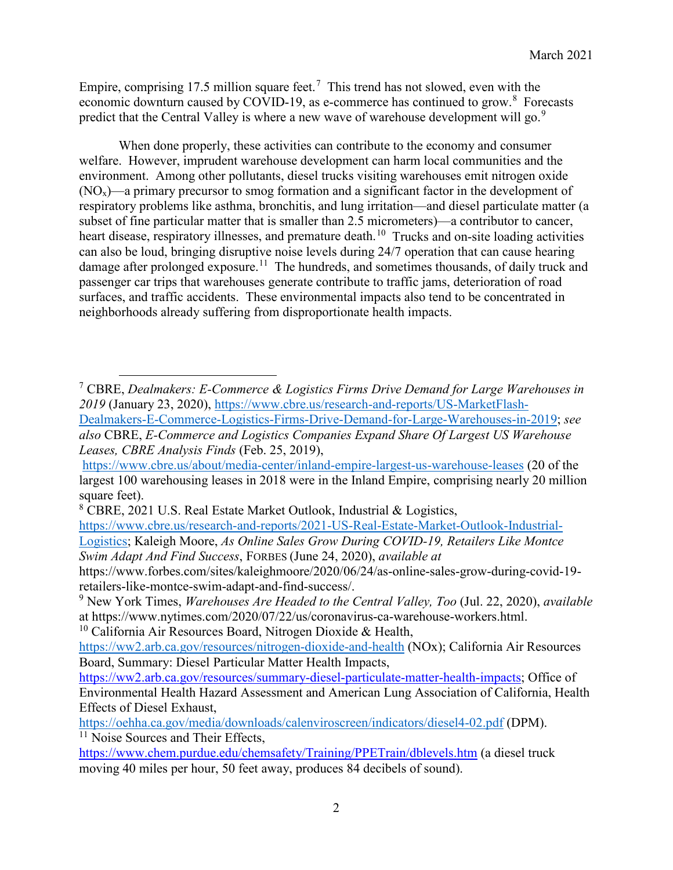Empire, comprising 17.5 million square feet.<sup>7</sup> This trend has not slowed, even with the economic downturn caused by COVID-19, as e-commerce has continued to grow.<sup>8</sup> Forecasts predict that the Central Valley is where a new wave of warehouse development will go.<sup>9</sup>

heart disease, respiratory illnesses, and premature [death.](https://death.10)<sup>[10](#page-1-3)</sup> Trucks and on-site loading activities damage after prolonged [exposure.](https://exposure.11)<sup>11</sup> The hundreds, and sometimes thousands, of daily truck and surfaces, and traffic accidents. These environmental impacts also tend to be concentrated in When done properly, these activities can contribute to the economy and consumer welfare. However, imprudent warehouse development can harm local communities and the environment. Among other pollutants, diesel trucks visiting warehouses emit nitrogen oxide  $(NO<sub>x</sub>)$ —a primary precursor to smog formation and a significant factor in the development of respiratory problems like asthma, bronchitis, and lung irritation—and diesel particulate matter (a subset of fine particular matter that is smaller than 2.5 micrometers)—a contributor to cancer, can also be loud, bringing disruptive noise levels during 24/7 operation that can cause hearing passenger car trips that warehouses generate contribute to traffic jams, deterioration of road neighborhoods already suffering from disproportionate health impacts.

 $\overline{a}$ 

<span id="page-1-0"></span> 7 CBRE, *Dealmakers: E-Commerce & Logistics Firms Drive Demand for Large Warehouses in 2019* (January 23, 2020), [https://www.cbre.us/research-and-reports/US-MarketFlash-](https://www.cbre.us/research-and-reports/US-MarketFlash-Dealmakers-E-Commerce-Logistics-Firms-Drive-Demand-for-Large-Warehouses-in-2019)[Dealmakers-E-Commerce-Logistics-Firms-Drive-Demand-for-Large-Warehouses-in-2019;](https://www.cbre.us/research-and-reports/US-MarketFlash-Dealmakers-E-Commerce-Logistics-Firms-Drive-Demand-for-Large-Warehouses-in-2019) *see also* CBRE, *E-Commerce and Logistics Companies Expand Share Of Largest US Warehouse Leases, CBRE Analysis Finds* (Feb. 25, 2019),

 <https://www.cbre.us/about/media-center/inland-empire-largest-us-warehouse-leases>(20 of the largest 100 warehousing leases in 2018 were in the Inland Empire, comprising nearly 20 million square feet).

<span id="page-1-1"></span><sup>8</sup> CBRE, 2021 U.S. Real Estate Market Outlook, Industrial & Logistics,

[https://www.cbre.us/research-and-reports/2021-US-Real-Estate-Market-Outlook-Industria](https://www.cbre.us/research-and-reports/2021-US-Real-Estate-Market-Outlook-Industrial)[l-](https://www.cbre.us/research-and-reports/2021-US-Real-Estate-Market-Outlook-Industrial-Logistics)[Logistics;](https://www.cbre.us/research-and-reports/2021-US-Real-Estate-Market-Outlook-Industrial-Logistics) Kaleigh Moore, *As Online Sales Grow During COVID-19, Retailers Like Montce* 

*Swim Adapt And Find Success*, FORBES (June 24, 2020), *available at* 

<https://www.forbes.com/sites/kaleighmoore/2020/06/24/as-online-sales-grow-during-covid-19> retailers-like-montce-swim-adapt-and-find-success/.

<span id="page-1-2"></span> 9 New York Times, *Warehouses Are Headed to the Central Valley, Too* (Jul. 22, 2020), *available*  at <https://www.nytimes.com/2020/07/22/us/coronavirus-ca-warehouse-workers.html>.

<span id="page-1-3"></span><sup>&</sup>lt;sup>10</sup> California Air Resources Board, Nitrogen Dioxide & Health,

 Board, Summary: Diesel Particular Matter Health Impacts, <https://ww2.arb.ca.gov/resources/nitrogen-dioxide-and-health>(NOx); California Air Resources

[https://ww2.arb.ca.gov/resources/summary-diesel-particulate-matter-health-impacts;](https://ww2.arb.ca.gov/resources/summary-diesel-particulate-matter-health-impacts) Office of Environmental Health Hazard Assessment and American Lung Association of California, Health Effects of Diesel Exhaust,

<https://oehha.ca.gov/media/downloads/calenviroscreen/indicators/diesel4-02.pdf>(DPM). <sup>11</sup> Noise Sources and Their Effects,

<span id="page-1-4"></span><https://www.chem.purdue.edu/chemsafety/Training/PPETrain/dblevels.htm>(a diesel truck moving 40 miles per hour, 50 feet away, produces 84 decibels of sound).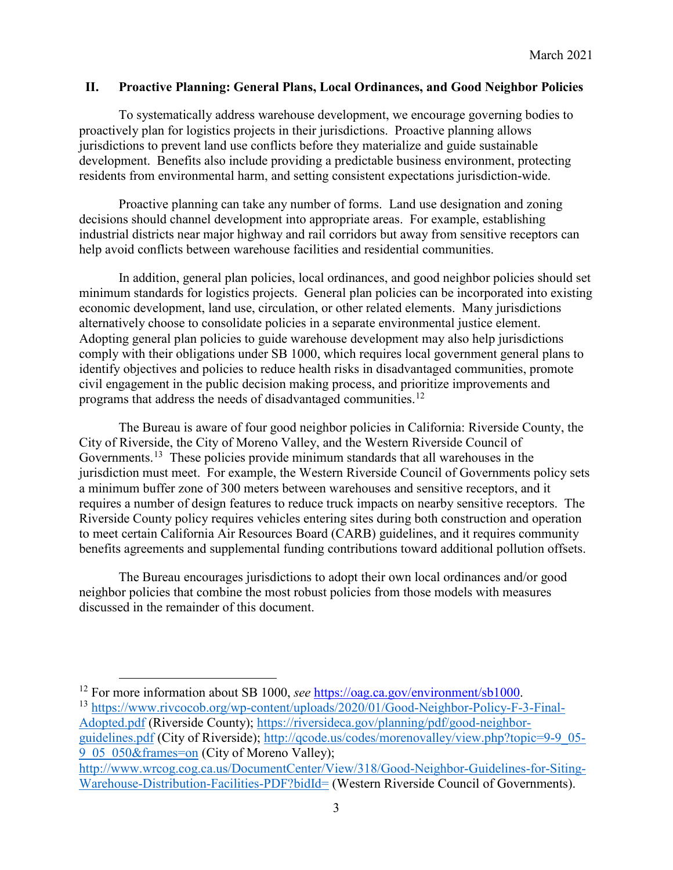#### **II. Proactive Planning: General Plans, Local Ordinances, and Good Neighbor Policies**

 proactively plan for logistics projects in their jurisdictions. Proactive planning allows jurisdictions to prevent land use conflicts before they materialize and guide sustainable To systematically address warehouse development, we encourage governing bodies to development. Benefits also include providing a predictable business environment, protecting residents from environmental harm, and setting consistent expectations jurisdiction-wide.

 decisions should channel development into appropriate areas. For example, establishing help avoid conflicts between warehouse facilities and residential communities. Proactive planning can take any number of forms. Land use designation and zoning industrial districts near major highway and rail corridors but away from sensitive receptors can

 In addition, general plan policies, local ordinances, and good neighbor policies should set minimum standards for logistics projects. General plan policies can be incorporated into existing alternatively choose to consolidate policies in a separate environmental justice element. programs that address the needs of disadvantaged [communities.](https://communities.12)<sup>12</sup> economic development, land use, circulation, or other related elements. Many jurisdictions Adopting general plan policies to guide warehouse development may also help jurisdictions comply with their obligations under SB 1000, which requires local government general plans to identify objectives and policies to reduce health risks in disadvantaged communities, promote civil engagement in the public decision making process, and prioritize improvements and

[Governments.](https://Governments.13)<sup>[13](#page-2-1)</sup> These policies provide minimum standards that all warehouses in the jurisdiction must meet. For example, the Western Riverside Council of Governments policy sets The Bureau is aware of four good neighbor policies in California: Riverside County, the City of Riverside, the City of Moreno Valley, and the Western Riverside Council of a minimum buffer zone of 300 meters between warehouses and sensitive receptors, and it requires a number of design features to reduce truck impacts on nearby sensitive receptors. The Riverside County policy requires vehicles entering sites during both construction and operation to meet certain California Air Resources Board (CARB) guidelines, and it requires community benefits agreements and supplemental funding contributions toward additional pollution offsets.

 neighbor policies that combine the most robust policies from those models with measures The Bureau encourages jurisdictions to adopt their own local ordinances and/or good discussed in the remainder of this document.

[9\\_05\\_050&frames=on](http://qcode.us/codes/morenovalley/view.php?topic=9-9_05-9_05_050&frames=on) (City of Moreno Valley);

<span id="page-2-0"></span><sup>&</sup>lt;sup>12</sup> For more information about SB 1000, see https://oag.ca.gov/environment/sb1000.

<span id="page-2-1"></span><sup>&</sup>lt;sup>13</sup>https://www.rivcocob.org/wp-content/uploads/2020/01/Good-Neighbor-Policy-F-3-Final-[Adopted.pdf](https://www.rivcocob.org/wp-content/uploads/2020/01/Good-Neighbor-Policy-F-3-Final-Adopted.pdf) (Riverside County); [https://riversideca.gov/planning/pdf/good-neighbor](https://riversideca.gov/planning/pdf/good-neighbor-guidelines.pdf)[guidelines.pdf](https://riversideca.gov/planning/pdf/good-neighbor-guidelines.pdf) (City of Riverside); [http://qcode.us/codes/morenovalley/view.php?topic=9-9\\_05-](http://qcode.us/codes/morenovalley/view.php?topic=9-9_05-9_05_050&frames=on)

[http://www.wrcog.cog.ca.us/DocumentCenter/View/318/Good-Neighbor-Guidelines-for-Sitin](http://www.wrcog.cog.ca.us/DocumentCenter/View/318/Good-Neighbor-Guidelines-for-Siting)[g-](http://www.wrcog.cog.ca.us/DocumentCenter/View/318/Good-Neighbor-Guidelines-for-Siting-Warehouse-Distribution-Facilities-PDF?bidId=)[Warehouse-Distribution-Facilities-PDF?bidId=](http://www.wrcog.cog.ca.us/DocumentCenter/View/318/Good-Neighbor-Guidelines-for-Siting-Warehouse-Distribution-Facilities-PDF?bidId=) (Western Riverside Council of Governments).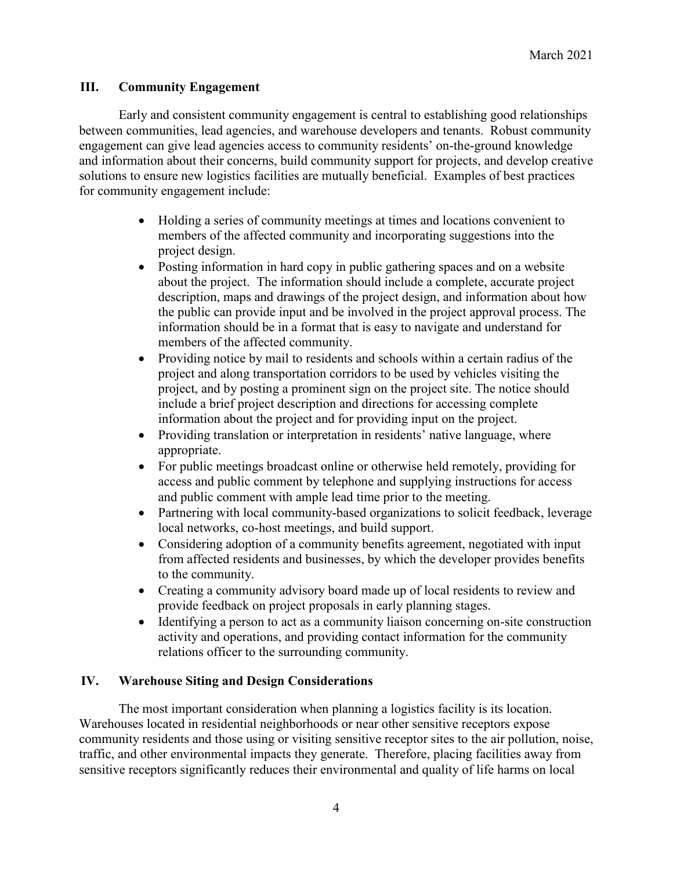### **III. Community Engagement**

 engagement can give lead agencies access to community residents' on-the-ground knowledge Early and consistent community engagement is central to establishing good relationships between communities, lead agencies, and warehouse developers and tenants. Robust community and information about their concerns, build community support for projects, and develop creative solutions to ensure new logistics facilities are mutually beneficial. Examples of best practices for community engagement include:

- Holding a series of community meetings at times and locations convenient to members of the affected community and incorporating suggestions into the project design.
- description, maps and drawings of the project design, and information about how • Posting information in hard copy in public gathering spaces and on a website about the project. The information should include a complete, accurate project the public can provide input and be involved in the project approval process. The information should be in a format that is easy to navigate and understand for members of the affected community.
- project, and by posting a prominent sign on the project site. The notice should information about the project and for providing input on the project. • Providing notice by mail to residents and schools within a certain radius of the project and along transportation corridors to be used by vehicles visiting the include a brief project description and directions for accessing complete
- Providing translation or interpretation in residents' native language, where appropriate.
- • For public meetings broadcast online or otherwise held remotely, providing for access and public comment by telephone and supplying instructions for access and public comment with ample lead time prior to the meeting.
- Partnering with local community-based organizations to solicit feedback, leverage local networks, co-host meetings, and build support.
- • Considering adoption of a community benefits agreement, negotiated with input from affected residents and businesses, by which the developer provides benefits to the community.
- Creating a community advisory board made up of local residents to review and provide feedback on project proposals in early planning stages.
- • Identifying a person to act as a community liaison concerning on-site construction relations officer to the surrounding community. activity and operations, and providing contact information for the community

#### **IV. Warehouse Siting and Design Considerations**

The most important consideration when planning a logistics facility is its location. The most important consideration when planning a logistics facility is its location. Warehouses located in residential neighborhoods or near other sensitive receptors expose community residents and those using or visiting sensitive receptor sites to the air pollution, noise, traffic, and other environmental impacts they generate. Therefore, placing facilities away from sensitive receptors significantly reduces their environmental and quality of life harms on local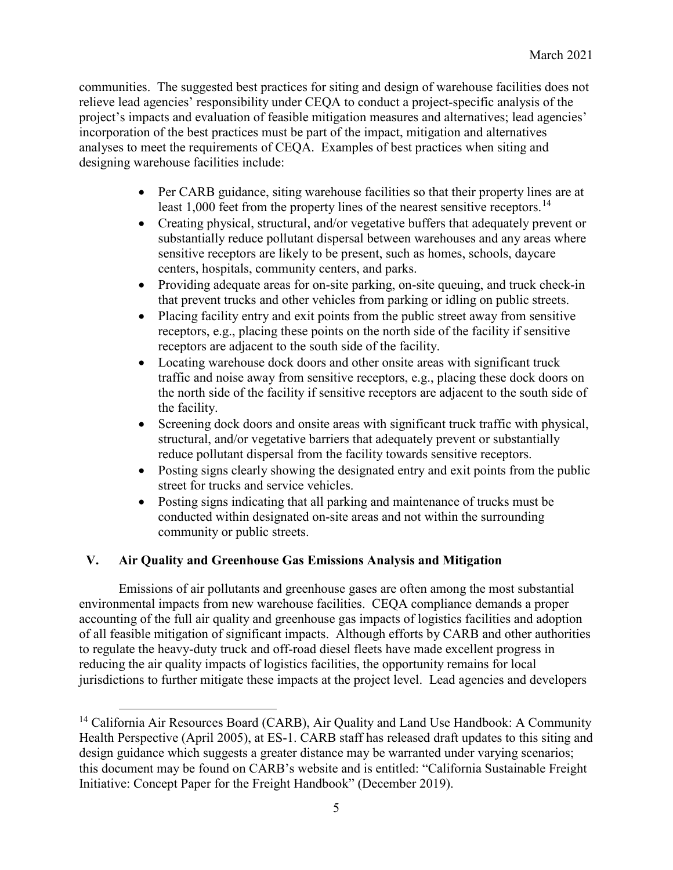incorporation of the best practices must be part of the impact, mitigation and alternatives communities. The suggested best practices for siting and design of warehouse facilities does not relieve lead agencies' responsibility under CEQA to conduct a project-specific analysis of the project's impacts and evaluation of feasible mitigation measures and alternatives; lead agencies' analyses to meet the requirements of CEQA. Examples of best practices when siting and designing warehouse facilities include:

- Per CARB guidance, siting warehouse facilities so that their property lines are at least 1,000 feet from the property lines of the nearest sensitive [receptors.](https://receptors.14)<sup>14</sup>
- Creating physical, structural, and/or vegetative buffers that adequately prevent or substantially reduce pollutant dispersal between warehouses and any areas where sensitive receptors are likely to be present, such as homes, schools, daycare centers, hospitals, community centers, and parks.
- Providing adequate areas for on-site parking, on-site queuing, and truck check-in that prevent trucks and other vehicles from parking or idling on public streets.
- • Placing facility entry and exit points from the public street away from sensitive receptors, e.g., placing these points on the north side of the facility if sensitive receptors are adjacent to the south side of the facility.
- • Locating warehouse dock doors and other onsite areas with significant truck traffic and noise away from sensitive receptors, e.g., placing these dock doors on the north side of the facility if sensitive receptors are adjacent to the south side of the facility.
- Screening dock doors and onsite areas with significant truck traffic with physical, structural, and/or vegetative barriers that adequately prevent or substantially reduce pollutant dispersal from the facility towards sensitive receptors.
- Posting signs clearly showing the designated entry and exit points from the public street for trucks and service vehicles.
- Posting signs indicating that all parking and maintenance of trucks must be conducted within designated on-site areas and not within the surrounding community or public streets.

## **V. Air Quality and Greenhouse Gas Emissions Analysis and Mitigation**

<u>.</u>

 Emissions of air pollutants and greenhouse gases are often among the most substantial environmental impacts from new warehouse facilities. CEQA compliance demands a proper accounting of the full air quality and greenhouse gas impacts of logistics facilities and adoption of all feasible mitigation of significant impacts. Although efforts by CARB and other authorities reducing the air quality impacts of logistics facilities, the opportunity remains for local jurisdictions to further mitigate these impacts at the project level. Lead agencies and developers to regulate the heavy-duty truck and off-road diesel fleets have made excellent progress in

<span id="page-4-0"></span> this document may be found on CARB's website and is entitled: "California Sustainable Freight <sup>14</sup> California Air Resources Board (CARB), Air Quality and Land Use Handbook: A Community Health Perspective (April 2005), at ES-1. CARB staff has released draft updates to this siting and design guidance which suggests a greater distance may be warranted under varying scenarios; Initiative: Concept Paper for the Freight Handbook" (December 2019).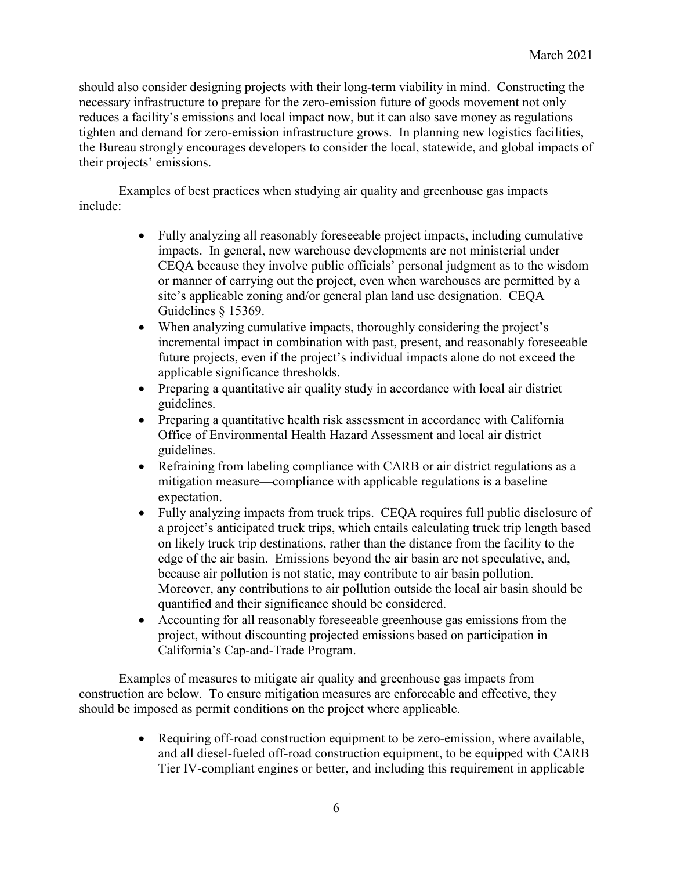should also consider designing projects with their long-term viability in mind. Constructing the necessary infrastructure to prepare for the zero-emission future of goods movement not only reduces a facility's emissions and local impact now, but it can also save money as regulations tighten and demand for zero-emission infrastructure grows. In planning new logistics facilities, the Bureau strongly encourages developers to consider the local, statewide, and global impacts of their projects' emissions.

 Examples of best practices when studying air quality and greenhouse gas impacts include:

- impacts. In general, new warehouse developments are not ministerial under CEQA because they involve public officials' personal judgment as to the wisdom or manner of carrying out the project, even when warehouses are permitted by a Guidelines § 15369. • Fully analyzing all reasonably foreseeable project impacts, including cumulative site's applicable zoning and/or general plan land use designation. CEQA
- When analyzing cumulative impacts, thoroughly considering the project's incremental impact in combination with past, present, and reasonably foreseeable future projects, even if the project's individual impacts alone do not exceed the applicable significance thresholds.
- Preparing a quantitative air quality study in accordance with local air district guidelines.
- Office of Environmental Health Hazard Assessment and local air district • Preparing a quantitative health risk assessment in accordance with California guidelines.
- • Refraining from labeling compliance with CARB or air district regulations as a mitigation measure—compliance with applicable regulations is a baseline expectation.
- • Fully analyzing impacts from truck trips. CEQA requires full public disclosure of on likely truck trip destinations, rather than the distance from the facility to the because air pollution is not static, may contribute to air basin pollution. a project's anticipated truck trips, which entails calculating truck trip length based edge of the air basin. Emissions beyond the air basin are not speculative, and, Moreover, any contributions to air pollution outside the local air basin should be quantified and their significance should be considered.
- Accounting for all reasonably foreseeable greenhouse gas emissions from the project, without discounting projected emissions based on participation in California's Cap-and-Trade Program.

 construction are below. To ensure mitigation measures are enforceable and effective, they should be imposed as permit conditions on the project where applicable. Examples of measures to mitigate air quality and greenhouse gas impacts from

> • Requiring off-road construction equipment to be zero-emission, where available, and all diesel-fueled off-road construction equipment, to be equipped with CARB Tier IV-compliant engines or better, and including this requirement in applicable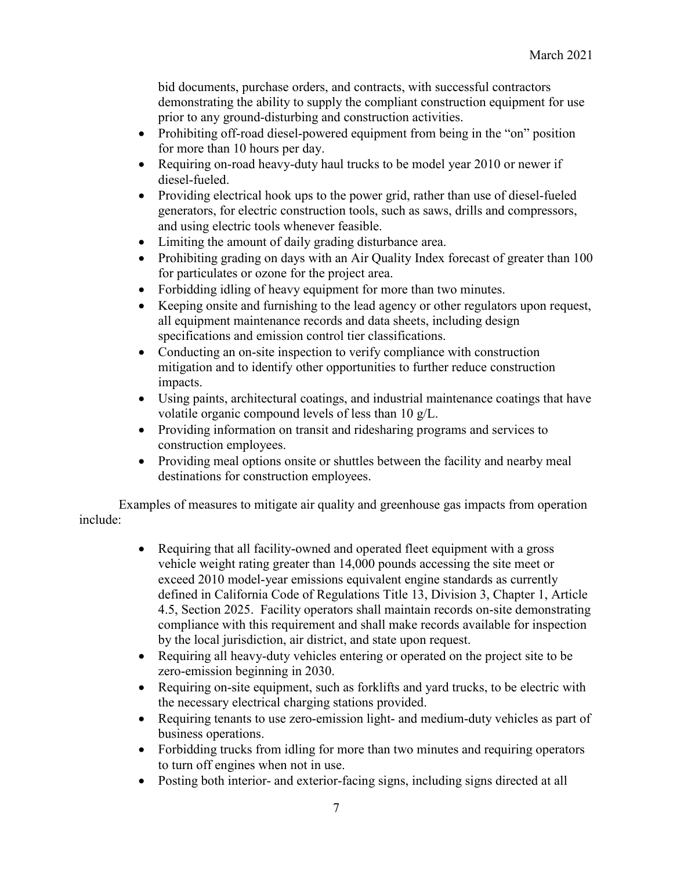demonstrating the ability to supply the compliant construction equipment for use bid documents, purchase orders, and contracts, with successful contractors prior to any ground-disturbing and construction activities.

- Prohibiting off-road diesel-powered equipment from being in the "on" position for more than 10 hours per day.
- • Requiring on-road heavy-duty haul trucks to be model year 2010 or newer if diesel-fueled.
- Providing electrical hook ups to the power grid, rather than use of diesel-fueled generators, for electric construction tools, such as saws, drills and compressors, and using electric tools whenever feasible.
- Limiting the amount of daily grading disturbance area.
- Prohibiting grading on days with an Air Quality Index forecast of greater than 100 for particulates or ozone for the project area.
- Forbidding idling of heavy equipment for more than two minutes.
- Keeping onsite and furnishing to the lead agency or other regulators upon request, all equipment maintenance records and data sheets, including design specifications and emission control tier classifications.
- mitigation and to identify other opportunities to further reduce construction • Conducting an on-site inspection to verify compliance with construction impacts.
- Using paints, architectural coatings, and industrial maintenance coatings that have volatile organic compound levels of less than 10 g/L.
- Providing information on transit and ridesharing programs and services to construction employees.
- Providing meal options onsite or shuttles between the facility and nearby meal destinations for construction employees.

Examples of measures to mitigate air quality and greenhouse gas impacts from operation include:

- exceed 2010 model-year emissions equivalent engine standards as currently • Requiring that all facility-owned and operated fleet equipment with a gross vehicle weight rating greater than 14,000 pounds accessing the site meet or defined in California Code of Regulations Title 13, Division 3, Chapter 1, Article 4.5, Section 2025. Facility operators shall maintain records on-site demonstrating compliance with this requirement and shall make records available for inspection by the local jurisdiction, air district, and state upon request.
- zero-emission beginning in 2030. • Requiring all heavy-duty vehicles entering or operated on the project site to be
- • Requiring on-site equipment, such as forklifts and yard trucks, to be electric with the necessary electrical charging stations provided.
- Requiring tenants to use zero-emission light- and medium-duty vehicles as part of business operations.
- Forbidding trucks from idling for more than two minutes and requiring operators to turn off engines when not in use.
- Posting both interior- and exterior-facing signs, including signs directed at all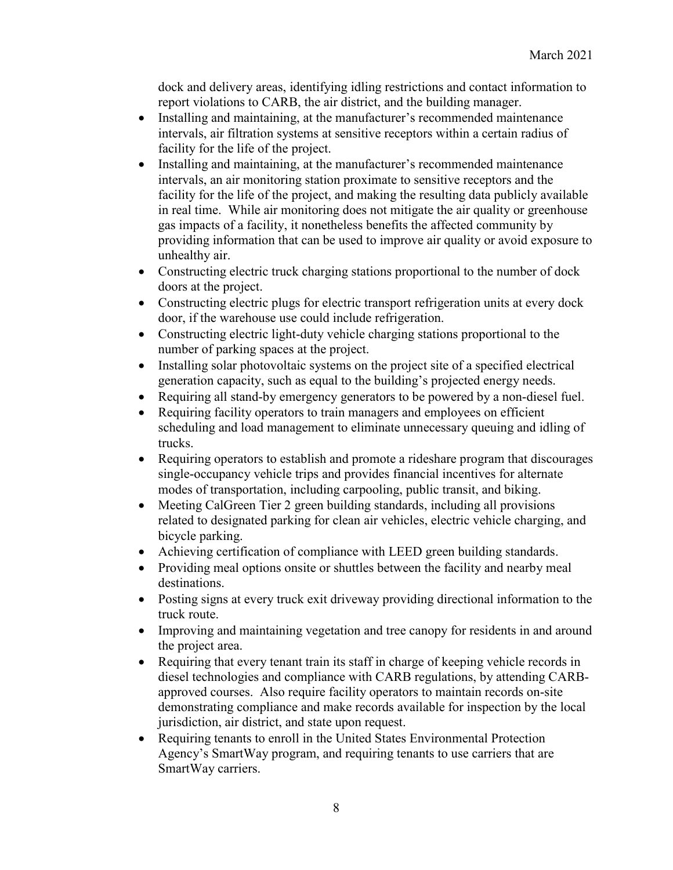dock and delivery areas, identifying idling restrictions and contact information to report violations to CARB, the air district, and the building manager.

- intervals, air filtration systems at sensitive receptors within a certain radius of • Installing and maintaining, at the manufacturer's recommended maintenance facility for the life of the project.
- in real time. While air monitoring does not mitigate the air quality or greenhouse • Installing and maintaining, at the manufacturer's recommended maintenance intervals, an air monitoring station proximate to sensitive receptors and the facility for the life of the project, and making the resulting data publicly available gas impacts of a facility, it nonetheless benefits the affected community by providing information that can be used to improve air quality or avoid exposure to unhealthy air.
- Constructing electric truck charging stations proportional to the number of dock doors at the project.
- • Constructing electric plugs for electric transport refrigeration units at every dock door, if the warehouse use could include refrigeration.
- Constructing electric light-duty vehicle charging stations proportional to the number of parking spaces at the project.
- • Installing solar photovoltaic systems on the project site of a specified electrical generation capacity, such as equal to the building's projected energy needs.
- Requiring all stand-by emergency generators to be powered by a non-diesel fuel.
- Requiring facility operators to train managers and employees on efficient scheduling and load management to eliminate unnecessary queuing and idling of trucks.
- Requiring operators to establish and promote a rideshare program that discourages single-occupancy vehicle trips and provides financial incentives for alternate modes of transportation, including carpooling, public transit, and biking.
- related to designated parking for clean air vehicles, electric vehicle charging, and • Meeting CalGreen Tier 2 green building standards, including all provisions bicycle parking.
- Achieving certification of compliance with LEED green building standards.
- • Providing meal options onsite or shuttles between the facility and nearby meal destinations.
- Posting signs at every truck exit driveway providing directional information to the truck route.
- Improving and maintaining vegetation and tree canopy for residents in and around the project area.
- • Requiring that every tenant train its staff in charge of keeping vehicle records in diesel technologies and compliance with CARB regulations, by attending CARBapproved courses. Also require facility operators to maintain records on-site demonstrating compliance and make records available for inspection by the local jurisdiction, air district, and state upon request.
- Requiring tenants to enroll in the United States Environmental Protection Agency's SmartWay program, and requiring tenants to use carriers that are SmartWay carriers.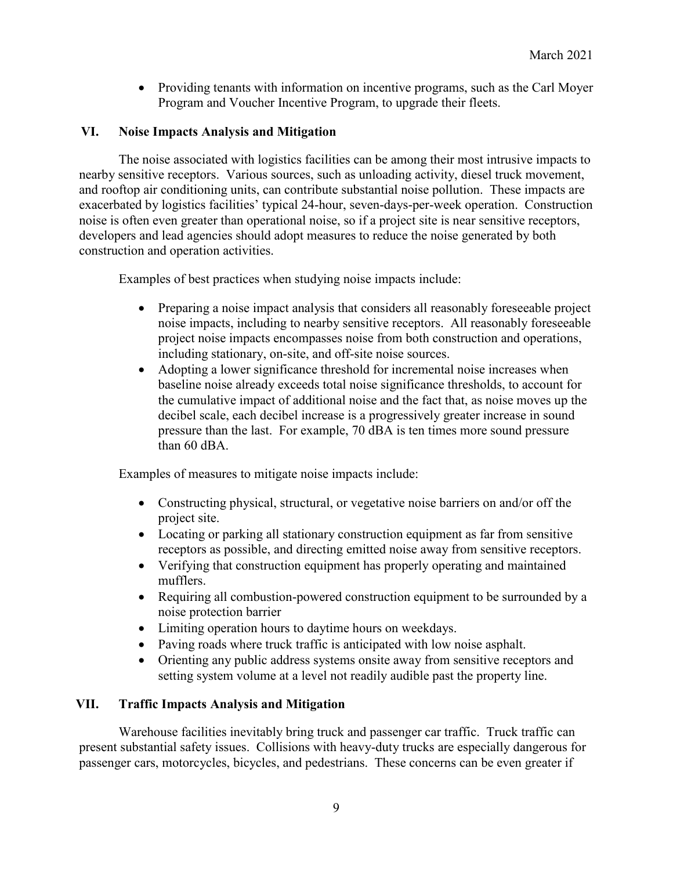• Providing tenants with information on incentive programs, such as the Carl Moyer Program and Voucher Incentive Program, to upgrade their fleets.

### **VI. Noise Impacts Analysis and Mitigation**

 nearby sensitive receptors. Various sources, such as unloading activity, diesel truck movement, construction and operation activities. The noise associated with logistics facilities can be among their most intrusive impacts to and rooftop air conditioning units, can contribute substantial noise pollution. These impacts are exacerbated by logistics facilities' typical 24-hour, seven-days-per-week operation. Construction noise is often even greater than operational noise, so if a project site is near sensitive receptors, developers and lead agencies should adopt measures to reduce the noise generated by both

Examples of best practices when studying noise impacts include:

- • Preparing a noise impact analysis that considers all reasonably foreseeable project noise impacts, including to nearby sensitive receptors. All reasonably foreseeable project noise impacts encompasses noise from both construction and operations, including stationary, on-site, and off-site noise sources.
- pressure than the last. For example, 70 dBA is ten times more sound pressure • Adopting a lower significance threshold for incremental noise increases when baseline noise already exceeds total noise significance thresholds, to account for the cumulative impact of additional noise and the fact that, as noise moves up the decibel scale, each decibel increase is a progressively greater increase in sound than 60 dBA.

Examples of measures to mitigate noise impacts include:

- • Constructing physical, structural, or vegetative noise barriers on and/or off the project site.
- Locating or parking all stationary construction equipment as far from sensitive receptors as possible, and directing emitted noise away from sensitive receptors.
- • Verifying that construction equipment has properly operating and maintained mufflers.
- Requiring all combustion-powered construction equipment to be surrounded by a noise protection barrier
- Limiting operation hours to daytime hours on weekdays.
- Paving roads where truck traffic is anticipated with low noise asphalt.
- Orienting any public address systems onsite away from sensitive receptors and setting system volume at a level not readily audible past the property line.

## **VII. Traffic Impacts Analysis and Mitigation**

 Warehouse facilities inevitably bring truck and passenger car traffic. Truck traffic can passenger cars, motorcycles, bicycles, and pedestrians. These concerns can be even greater if present substantial safety issues. Collisions with heavy-duty trucks are especially dangerous for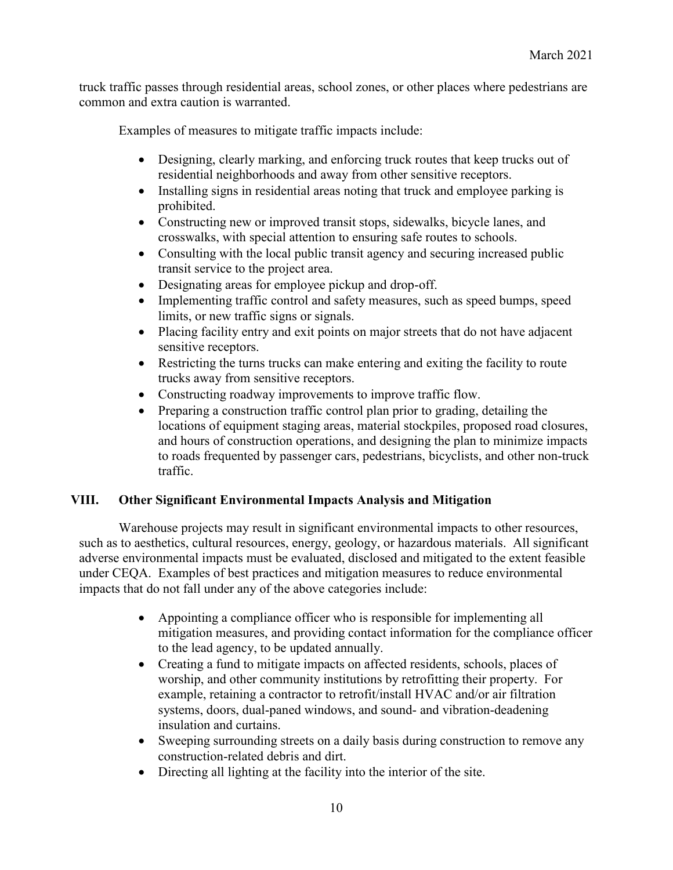common and extra caution is warranted. truck traffic passes through residential areas, school zones, or other places where pedestrians are

Examples of measures to mitigate traffic impacts include:

- residential neighborhoods and away from other sensitive receptors. • Designing, clearly marking, and enforcing truck routes that keep trucks out of
- Installing signs in residential areas noting that truck and employee parking is prohibited.
- Constructing new or improved transit stops, sidewalks, bicycle lanes, and crosswalks, with special attention to ensuring safe routes to schools.
- Consulting with the local public transit agency and securing increased public transit service to the project area.
- Designating areas for employee pickup and drop-off.
- Implementing traffic control and safety measures, such as speed bumps, speed limits, or new traffic signs or signals.
- • Placing facility entry and exit points on major streets that do not have adjacent sensitive receptors.
- Restricting the turns trucks can make entering and exiting the facility to route trucks away from sensitive receptors.
- Constructing roadway improvements to improve traffic flow.
- Preparing a construction traffic control plan prior to grading, detailing the locations of equipment staging areas, material stockpiles, proposed road closures, and hours of construction operations, and designing the plan to minimize impacts to roads frequented by passenger cars, pedestrians, bicyclists, and other non-truck traffic.

## **VIII. Other Significant Environmental Impacts Analysis and Mitigation**

 Warehouse projects may result in significant environmental impacts to other resources, under CEQA. Examples of best practices and mitigation measures to reduce environmental impacts that do not fall under any of the above categories include: such as to aesthetics, cultural resources, energy, geology, or hazardous materials. All significant adverse environmental impacts must be evaluated, disclosed and mitigated to the extent feasible

- Appointing a compliance officer who is responsible for implementing all mitigation measures, and providing contact information for the compliance officer to the lead agency, to be updated annually.
- systems, doors, dual-paned windows, and sound- and vibration-deadening • Creating a fund to mitigate impacts on affected residents, schools, places of worship, and other community institutions by retrofitting their property. For example, retaining a contractor to retrofit/install HVAC and/or air filtration insulation and curtains.
- • Sweeping surrounding streets on a daily basis during construction to remove any construction-related debris and dirt.
- Directing all lighting at the facility into the interior of the site.